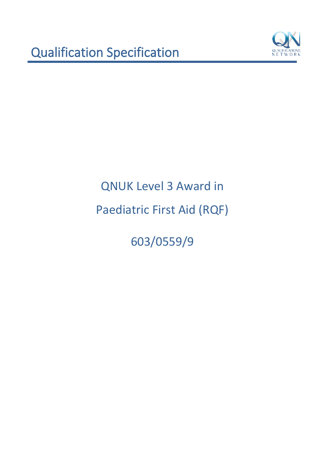

603/0559/9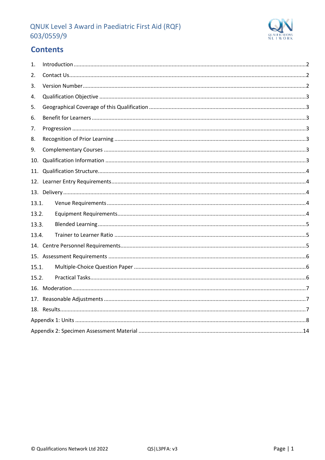

# **Contents**

| 1.    |  |
|-------|--|
| 2.    |  |
| 3.    |  |
| 4.    |  |
| 5.    |  |
| 6.    |  |
| 7.    |  |
| 8.    |  |
| 9.    |  |
| 10.   |  |
| 11.   |  |
|       |  |
|       |  |
| 13.1. |  |
| 13.2. |  |
| 13.3. |  |
| 13.4. |  |
|       |  |
|       |  |
| 15.1. |  |
| 15.2. |  |
|       |  |
|       |  |
|       |  |
|       |  |
|       |  |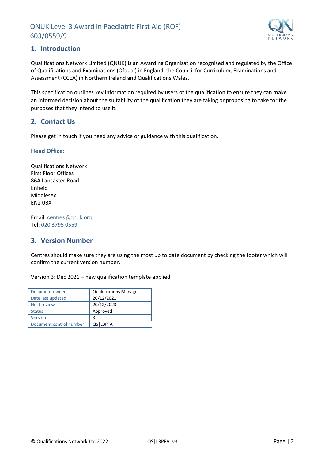

## <span id="page-2-0"></span>**1. Introduction**

Qualifications Network Limited (QNUK) is an Awarding Organisation recognised and regulated by the Office of Qualifications and Examinations (Ofqual) in England, the Council for Curriculum, Examinations and Assessment (CCEA) in Northern Ireland and Qualifications Wales.

This specification outlines key information required by users of the qualification to ensure they can make an informed decision about the suitability of the qualification they are taking or proposing to take for the purposes that they intend to use it.

## <span id="page-2-1"></span>**2. Contact Us**

Please get in touch if you need any advice or guidance with this qualification.

#### **Head Office:**

Qualifications Network First Floor Offices 86A Lancaster Road Enfield Middlesex EN2 0BX

Email: [centres@qnuk.org](mailto:CentreSupport@Qualifications-Network.co.uk) Tel: 020 3795 0559

# <span id="page-2-2"></span>**3. Version Number**

Centres should make sure they are using the most up to date document by checking the footer which will confirm the current version number.

Version 3: Dec 2021 – new qualification template applied

| Document owner          | <b>Qualifications Manager</b> |
|-------------------------|-------------------------------|
| Date last updated       | 20/12/2021                    |
| Next review             | 20/12/2023                    |
| <b>Status</b>           | Approved                      |
| Version                 | 3                             |
| Document control number | QS L3PFA                      |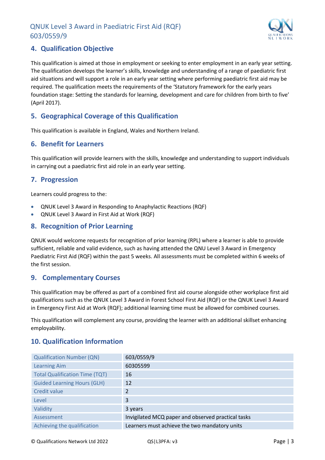

# <span id="page-3-0"></span>**4. Qualification Objective**

This qualification is aimed at those in employment or seeking to enter employment in an early year setting. The qualification develops the learner's skills, knowledge and understanding of a range of paediatric first aid situations and will support a role in an early year setting where performing paediatric first aid may be required. The qualification meets the requirements of the 'Statutory framework for the early years foundation stage: Setting the standards for learning, development and care for children from birth to five' (April 2017).

# <span id="page-3-1"></span>**5. Geographical Coverage of this Qualification**

This qualification is available in England, Wales and Northern Ireland.

## <span id="page-3-2"></span>**6. Benefit for Learners**

This qualification will provide learners with the skills, knowledge and understanding to support individuals in carrying out a paediatric first aid role in an early year setting.

## <span id="page-3-3"></span>**7. Progression**

Learners could progress to the:

- QNUK Level 3 Award in Responding to Anaphylactic Reactions (RQF)
- QNUK Level 3 Award in First Aid at Work (RQF)

## <span id="page-3-4"></span>**8. Recognition of Prior Learning**

QNUK would welcome requests for recognition of prior learning (RPL) where a learner is able to provide sufficient, reliable and valid evidence, such as having attended the QNU Level 3 Award in Emergency Paediatric First Aid (RQF) within the past 5 weeks. All assessments must be completed within 6 weeks of the first session.

## <span id="page-3-5"></span>**9. Complementary Courses**

This qualification may be offered as part of a combined first aid course alongside other workplace first aid qualifications such as the QNUK Level 3 Award in Forest School First Aid (RQF) or the QNUK Level 3 Award in Emergency First Aid at Work (RQF); additional learning time must be allowed for combined courses.

This qualification will complement any course, providing the learner with an additional skillset enhancing employability.

## <span id="page-3-6"></span>**10. Qualification Information**

| <b>Qualification Number (QN)</b>      | 603/0559/9                                         |
|---------------------------------------|----------------------------------------------------|
| <b>Learning Aim</b>                   | 60305599                                           |
| <b>Total Qualification Time (TQT)</b> | 16                                                 |
| <b>Guided Learning Hours (GLH)</b>    | 12                                                 |
| Credit value                          | $\overline{\mathcal{L}}$                           |
| Level                                 | 3                                                  |
| Validity                              | 3 years                                            |
| Assessment                            | Invigilated MCQ paper and observed practical tasks |
| Achieving the qualification           | Learners must achieve the two mandatory units      |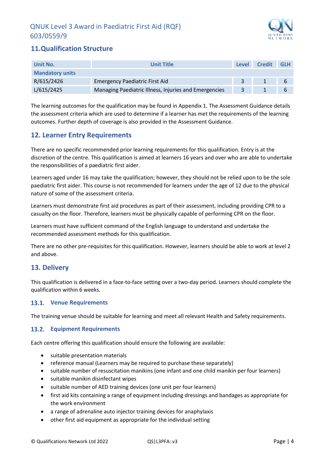

# <span id="page-4-0"></span>**11.Qualification Structure**

| <b>Unit Title</b><br>Unit No. |                                                       | Level | <b>Credit</b> | <b>GLH</b> |
|-------------------------------|-------------------------------------------------------|-------|---------------|------------|
| <b>Mandatory units</b>        |                                                       |       |               |            |
| R/615/2426                    | <b>Emergency Paediatric First Aid</b>                 |       |               | - 6        |
| L/615/2425                    | Managing Paediatric Illness, Injuries and Emergencies |       |               |            |

The learning outcomes for the qualification may be found in Appendix 1. The Assessment Guidance details the assessment criteria which are used to determine if a learner has met the requirements of the learning outcomes. Further depth of coverage is also provided in the Assessment Guidance.

# <span id="page-4-1"></span>**12. Learner Entry Requirements**

There are no specific recommended prior learning requirements for this qualification. Entry is at the discretion of the centre. This qualification is aimed at learners 16 years and over who are able to undertake the responsibilities of a paediatric first aider.

Learners aged under 16 may take the qualification; however, they should not be relied upon to be the sole paediatric first aider. This course is not recommended for learners under the age of 12 due to the physical nature of some of the assessment criteria.

Learners must demonstrate first aid procedures as part of their assessment, including providing CPR to a casualty on the floor. Therefore, learners must be physically capable of performing CPR on the floor.

Learners must have sufficient command of the English language to understand and undertake the recommended assessment methods for this qualification.

There are no other pre-requisites for this qualification. However, learners should be able to work at level 2 and above.

# <span id="page-4-2"></span>**13. Delivery**

This qualification is delivered in a face-to-face setting over a two-day period. Learners should complete the qualification within 6 weeks.

#### <span id="page-4-3"></span>**Venue Requirements**

The training venue should be suitable for learning and meet all relevant Health and Safety requirements.

#### <span id="page-4-4"></span>**Equipment Requirements**

Each centre offering this qualification should ensure the following are available:

- suitable presentation materials
- reference manual (Learners may be required to purchase these separately)
- suitable number of resuscitation manikins (one infant and one child manikin per four learners)
- suitable manikin disinfectant wipes
- suitable number of AED training devices (one unit per four learners)
- first aid kits containing a range of equipment including dressings and bandages as appropriate for the work environment
- a range of adrenaline auto injector training devices for anaphylaxis
- other first aid equipment as appropriate for the individual setting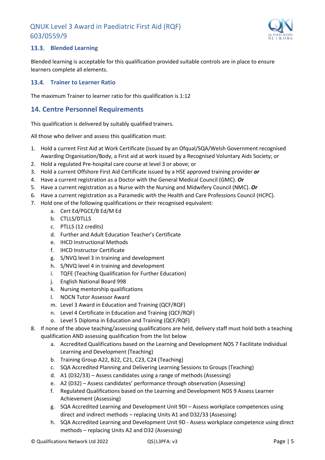

#### <span id="page-5-0"></span>**Blended Learning**

Blended learning is acceptable for this qualification provided suitable controls are in place to ensure learners complete all elements.

#### <span id="page-5-1"></span>**Trainer to Learner Ratio**

The maximum Trainer to learner ratio for this qualification is 1:12

# <span id="page-5-2"></span>**14. Centre Personnel Requirements**

This qualification is delivered by suitably qualified trainers.

All those who deliver and assess this qualification must:

- 1. Hold a current First Aid at Work Certificate (issued by an Ofqual/SQA/Welsh Government recognised Awarding Organisation/Body, a First aid at work issued by a Recognised Voluntary Aids Society; or
- 2. Hold a regulated Pre-hospital care course at level 3 or above; or
- 3. Hold a current Offshore First Aid Certificate issued by a HSE approved training provider *or*
- 4. Have a current registration as a Doctor with the General Medical Council (GMC). *Or*
- 5. Have a current registration as a Nurse with the Nursing and Midwifery Council (NMC). *Or*
- 6. Have a current registration as a Paramedic with the Health and Care Professions Council (HCPC).
- 7. Hold one of the following qualifications or their recognised equivalent:
	- a. Cert Ed/PGCE/B Ed/M Ed
	- b. CTLLS/DTLLS
	- c. PTLLS (12 credits)
	- d. Further and Adult Education Teacher's Certificate
	- e. IHCD Instructional Methods
	- f. IHCD Instructor Certificate
	- g. S/NVQ level 3 in training and development
	- h. S/NVQ level 4 in training and development
	- i. TQFE (Teaching Qualification for Further Education)
	- j. English National Board 998
	- k. Nursing mentorship qualifications
	- l. NOCN Tutor Assessor Award
	- m. Level 3 Award in Education and Training (QCF/RQF)
	- n. Level 4 Certificate in Education and Training (QCF/RQF)
	- o. Level 5 Diploma in Education and Training (QCF/RQF)
- 8. If none of the above teaching/assessing qualifications are held, delivery staff must hold both a teaching qualification AND assessing qualification from the list below
	- a. Accredited Qualifications based on the Learning and Development NOS 7 Facilitate Individual Learning and Development (Teaching)
	- b. Training Group A22, B22, C21, C23, C24 (Teaching)
	- c. SQA Accredited Planning and Delivering Learning Sessions to Groups (Teaching)
	- d. A1 (D32/33) Assess candidates using a range of methods (Assessing)
	- e. A2 (D32) Assess candidates' performance through observation (Assessing)
	- f. Regulated Qualifications based on the Learning and Development NOS 9 Assess Learner Achievement (Assessing)
	- g. SQA Accredited Learning and Development Unit 9DI Assess workplace competences using direct and indirect methods – replacing Units A1 and D32/33 (Assessing)
	- h. SQA Accredited Learning and Development Unit 9D Assess workplace competence using direct methods – replacing Units A2 and D32 (Assessing)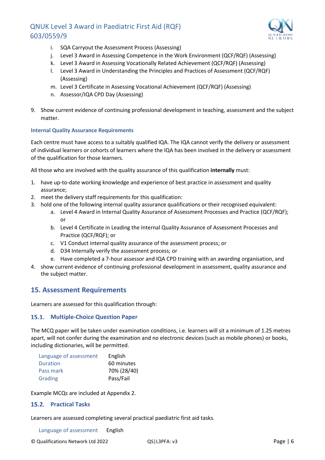

- i. SQA Carryout the Assessment Process (Assessing)
- j. Level 3 Award in Assessing Competence in the Work Environment (QCF/RQF) (Assessing)
- k. Level 3 Award in Assessing Vocationally Related Achievement (QCF/RQF) (Assessing)
- l. Level 3 Award in Understanding the Principles and Practices of Assessment (QCF/RQF) (Assessing)
- m. Level 3 Certificate in Assessing Vocational Achievement (QCF/RQF) (Assessing)
- n. Assessor/IQA CPD Day (Assessing)
- 9. Show current evidence of continuing professional development in teaching, assessment and the subject matter.

#### **Internal Quality Assurance Requirements**

Each centre must have access to a suitably qualified IQA. The IQA cannot verify the delivery or assessment of individual learners or cohorts of learners where the IQA has been involved in the delivery or assessment of the qualification for those learners.

All those who are involved with the quality assurance of this qualification **internally** must:

- 1. have up-to-date working knowledge and experience of best practice in assessment and quality assurance;
- 2. meet the delivery staff requirements for this qualification:
- 3. hold one of the following internal quality assurance qualifications or their recognised equivalent:
	- a. Level 4 Award in Internal Quality Assurance of Assessment Processes and Practice (QCF/RQF); or
	- b. Level 4 Certificate in Leading the Internal Quality Assurance of Assessment Processes and Practice (QCF/RQF); or
	- c. V1 Conduct internal quality assurance of the assessment process; or
	- d. D34 Internally verify the assessment process; or
	- e. Have completed a 7-hour assessor and IQA CPD training with an awarding organisation, and
- 4. show current evidence of continuing professional development in assessment, quality assurance and the subject matter.

# <span id="page-6-0"></span>**15. Assessment Requirements**

Learners are assessed for this qualification through:

#### <span id="page-6-1"></span>**Multiple-Choice Question Paper**

The MCQ paper will be taken under examination conditions, i.e. learners will sit a minimum of 1.25 metres apart, will not confer during the examination and no electronic devices (such as mobile phones) or books, including dictionaries, will be permitted.

| Language of assessment | English     |
|------------------------|-------------|
| <b>Duration</b>        | 60 minutes  |
| Pass mark              | 70% (28/40) |
| Grading                | Pass/Fail   |

Example MCQs are included at Appendix 2.

#### <span id="page-6-2"></span>15.2. Practical Tasks

Learners are assessed completing several practical paediatric first aid tasks.

Language of assessment English

© Qualifications Network Ltd 2022 QS|L3PFA: v3 Page | 6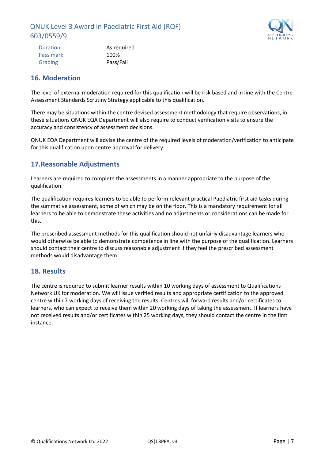

| As required |
|-------------|
| 100%        |
| Pass/Fail   |
|             |

## <span id="page-7-0"></span>**16. Moderation**

The level of external moderation required for this qualification will be risk based and in line with the Centre Assessment Standards Scrutiny Strategy applicable to this qualification.

There may be situations within the centre devised assessment methodology that require observations, in these situations QNUK EQA Department will also require to conduct verification visits to ensure the accuracy and consistency of assessment decisions.

QNUK EQA Department will advise the centre of the required levels of moderation/verification to anticipate for this qualification upon centre approval for delivery.

# <span id="page-7-1"></span>**17.Reasonable Adjustments**

Learners are required to complete the assessments in a manner appropriate to the purpose of the qualification.

The qualification requires learners to be able to perform relevant practical Paediatric first aid tasks during the summative assessment, some of which may be on the floor. This is a mandatory requirement for all learners to be able to demonstrate these activities and no adjustments or considerations can be made for this.

The prescribed assessment methods for this qualification should not unfairly disadvantage learners who would otherwise be able to demonstrate competence in line with the purpose of the qualification. Learners should contact their centre to discuss reasonable adjustment if they feel the prescribed assessment methods would disadvantage them.

# <span id="page-7-2"></span>**18. Results**

The centre is required to submit learner results within 10 working days of assessment to Qualifications Network UK for moderation. We will issue verified results and appropriate certification to the approved centre within 7 working days of receiving the results. Centres will forward results and/or certificates to learners, who can expect to receive them within 20 working days of taking the assessment. If learners have not received results and/or certificates within 25 working days, they should contact the centre in the first instance.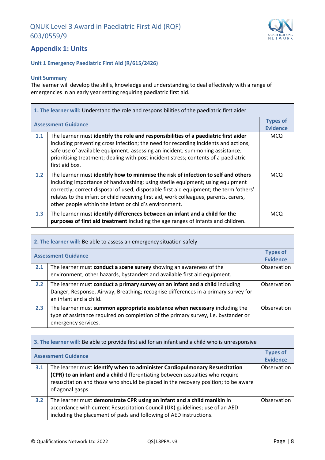

## <span id="page-8-0"></span>**Appendix 1: Units**

#### **Unit 1 Emergency Paediatric First Aid (R/615/2426)**

#### **Unit Summary**

The learner will develop the skills, knowledge and understanding to deal effectively with a range of emergencies in an early year setting requiring paediatric first aid.

| 1. The learner will: Understand the role and responsibilities of the paediatric first aider |                                                                                                                                                                                                                                                                                                                                                                                                                  |                                    |
|---------------------------------------------------------------------------------------------|------------------------------------------------------------------------------------------------------------------------------------------------------------------------------------------------------------------------------------------------------------------------------------------------------------------------------------------------------------------------------------------------------------------|------------------------------------|
|                                                                                             | <b>Assessment Guidance</b>                                                                                                                                                                                                                                                                                                                                                                                       | <b>Types of</b><br><b>Evidence</b> |
| 1.1                                                                                         | The learner must identify the role and responsibilities of a paediatric first aider<br>including preventing cross infection; the need for recording incidents and actions;<br>safe use of available equipment; assessing an incident; summoning assistance;<br>prioritising treatment; dealing with post incident stress; contents of a paediatric<br>first aid box.                                             | MCQ.                               |
| 1.2                                                                                         | The learner must identify how to minimise the risk of infection to self and others<br>including importance of handwashing; using sterile equipment; using equipment<br>correctly; correct disposal of used, disposable first aid equipment; the term 'others'<br>relates to the infant or child receiving first aid, work colleagues, parents, carers,<br>other people within the infant or child's environment. | MCQ                                |
| 1.3                                                                                         | The learner must identify differences between an infant and a child for the<br>purposes of first aid treatment including the age ranges of infants and children.                                                                                                                                                                                                                                                 | <b>MCQ</b>                         |

| 2. The learner will: Be able to assess an emergency situation safely |                                                                                                                                                                                              |                                    |
|----------------------------------------------------------------------|----------------------------------------------------------------------------------------------------------------------------------------------------------------------------------------------|------------------------------------|
| <b>Assessment Guidance</b>                                           |                                                                                                                                                                                              | <b>Types of</b><br><b>Evidence</b> |
| 2.1                                                                  | The learner must conduct a scene survey showing an awareness of the<br>environment, other hazards, bystanders and available first aid equipment.                                             | Observation                        |
| 2.2                                                                  | The learner must conduct a primary survey on an infant and a child including<br>Danger, Response, Airway, Breathing; recognise differences in a primary survey for<br>an infant and a child. | Observation                        |
| 2.3                                                                  | The learner must summon appropriate assistance when necessary including the<br>type of assistance required on completion of the primary survey, i.e. bystander or<br>emergency services.     | Observation                        |

| 3. The learner will: Be able to provide first aid for an infant and a child who is unresponsive |                                                                                                                                                                                                                                                                       |                                    |
|-------------------------------------------------------------------------------------------------|-----------------------------------------------------------------------------------------------------------------------------------------------------------------------------------------------------------------------------------------------------------------------|------------------------------------|
| <b>Assessment Guidance</b>                                                                      |                                                                                                                                                                                                                                                                       | <b>Types of</b><br><b>Evidence</b> |
| 3.1                                                                                             | The learner must identify when to administer Cardiopulmonary Resuscitation<br>(CPR) to an infant and a child differentiating between casualties who require<br>resuscitation and those who should be placed in the recovery position; to be aware<br>of agonal gasps. | Observation                        |
| 3.2                                                                                             | The learner must demonstrate CPR using an infant and a child manikin in<br>accordance with current Resuscitation Council (UK) guidelines; use of an AED<br>including the placement of pads and following of AED instructions.                                         | Observation                        |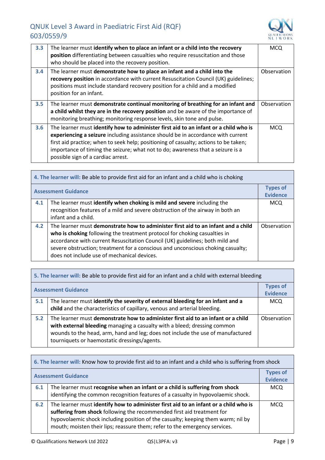

| 3.3 | The learner must identify when to place an infant or a child into the recovery<br>position differentiating between casualties who require resuscitation and those<br>who should be placed into the recovery position.                                                                                                                                                                     | <b>MCQ</b>  |
|-----|-------------------------------------------------------------------------------------------------------------------------------------------------------------------------------------------------------------------------------------------------------------------------------------------------------------------------------------------------------------------------------------------|-------------|
| 3.4 | The learner must demonstrate how to place an infant and a child into the<br>recovery position in accordance with current Resuscitation Council (UK) guidelines;<br>positions must include standard recovery position for a child and a modified<br>position for an infant.                                                                                                                | Observation |
| 3.5 | The learner must demonstrate continual monitoring of breathing for an infant and<br>a child whilst they are in the recovery position and be aware of the importance of<br>monitoring breathing; monitoring response levels, skin tone and pulse.                                                                                                                                          | Observation |
| 3.6 | The learner must identify how to administer first aid to an infant or a child who is<br>experiencing a seizure including assistance should be in accordance with current<br>first aid practice; when to seek help; positioning of casualty; actions to be taken;<br>importance of timing the seizure; what not to do; awareness that a seizure is a<br>possible sign of a cardiac arrest. | <b>MCQ</b>  |

| 4. The learner will: Be able to provide first aid for an infant and a child who is choking |                                                                                                                                                                                                                                                                                                                                                                                  |                                    |
|--------------------------------------------------------------------------------------------|----------------------------------------------------------------------------------------------------------------------------------------------------------------------------------------------------------------------------------------------------------------------------------------------------------------------------------------------------------------------------------|------------------------------------|
| <b>Assessment Guidance</b>                                                                 |                                                                                                                                                                                                                                                                                                                                                                                  | <b>Types of</b><br><b>Evidence</b> |
| 4.1                                                                                        | The learner must identify when choking is mild and severe including the<br>recognition features of a mild and severe obstruction of the airway in both an<br>infant and a child.                                                                                                                                                                                                 | <b>MCQ</b>                         |
| 4.2                                                                                        | The learner must demonstrate how to administer first aid to an infant and a child<br>who is choking following the treatment protocol for choking casualties in<br>accordance with current Resuscitation Council (UK) guidelines; both mild and<br>severe obstruction; treatment for a conscious and unconscious choking casualty;<br>does not include use of mechanical devices. | Observation                        |

| 5. The learner will: Be able to provide first aid for an infant and a child with external bleeding |                                                                                                                                                                                                                                                                                                 |                                    |
|----------------------------------------------------------------------------------------------------|-------------------------------------------------------------------------------------------------------------------------------------------------------------------------------------------------------------------------------------------------------------------------------------------------|------------------------------------|
| <b>Assessment Guidance</b>                                                                         |                                                                                                                                                                                                                                                                                                 | <b>Types of</b><br><b>Evidence</b> |
| 5.1                                                                                                | The learner must identify the severity of external bleeding for an infant and a<br>child and the characteristics of capillary, venous and arterial bleeding.                                                                                                                                    | <b>MCQ</b>                         |
| 5.2                                                                                                | The learner must demonstrate how to administer first aid to an infant or a child<br>with external bleeding managing a casualty with a bleed; dressing common<br>wounds to the head, arm, hand and leg; does not include the use of manufactured<br>tourniquets or haemostatic dressings/agents. | Observation                        |

| 6. The learner will: Know how to provide first aid to an infant and a child who is suffering from shock |                                                                                                                                                                                                                                                                                                                                  |                                    |
|---------------------------------------------------------------------------------------------------------|----------------------------------------------------------------------------------------------------------------------------------------------------------------------------------------------------------------------------------------------------------------------------------------------------------------------------------|------------------------------------|
|                                                                                                         | <b>Assessment Guidance</b>                                                                                                                                                                                                                                                                                                       | <b>Types of</b><br><b>Evidence</b> |
| 6.1                                                                                                     | The learner must recognise when an infant or a child is suffering from shock<br>identifying the common recognition features of a casualty in hypovolaemic shock.                                                                                                                                                                 | <b>MCQ</b>                         |
| 6.2                                                                                                     | The learner must identify how to administer first aid to an infant or a child who is<br>suffering from shock following the recommended first aid treatment for<br>hypovolaemic shock including position of the casualty; keeping them warm; nil by<br>mouth; moisten their lips; reassure them; refer to the emergency services. | <b>MCQ</b>                         |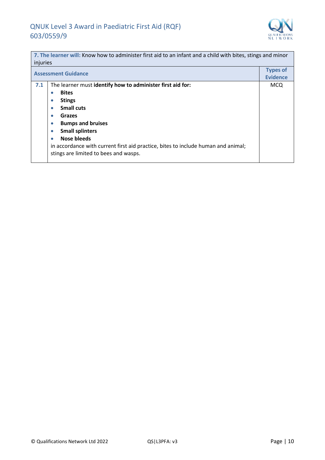

| 7. The learner will: Know how to administer first aid to an infant and a child with bites, stings and minor |                                                                                   |                                    |
|-------------------------------------------------------------------------------------------------------------|-----------------------------------------------------------------------------------|------------------------------------|
| injuries                                                                                                    |                                                                                   |                                    |
| <b>Assessment Guidance</b>                                                                                  |                                                                                   | <b>Types of</b><br><b>Evidence</b> |
| 7.1                                                                                                         | The learner must identify how to administer first aid for:                        | <b>MCQ</b>                         |
|                                                                                                             | <b>Bites</b><br>۰                                                                 |                                    |
|                                                                                                             | <b>Stings</b><br>$\bullet$                                                        |                                    |
|                                                                                                             | <b>Small cuts</b><br>$\bullet$                                                    |                                    |
|                                                                                                             | Grazes<br>$\bullet$                                                               |                                    |
|                                                                                                             | <b>Bumps and bruises</b>                                                          |                                    |
|                                                                                                             | <b>Small splinters</b>                                                            |                                    |
|                                                                                                             | Nose bleeds<br>۰                                                                  |                                    |
|                                                                                                             | in accordance with current first aid practice, bites to include human and animal; |                                    |
|                                                                                                             | stings are limited to bees and wasps.                                             |                                    |
|                                                                                                             |                                                                                   |                                    |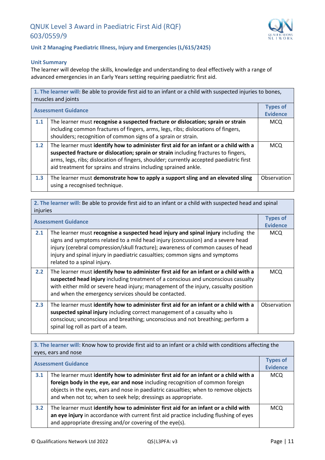

#### **Unit 2 Managing Paediatric Illness, Injury and Emergencies (L/615/2425)**

#### **Unit Summary**

The learner will develop the skills, knowledge and understanding to deal effectively with a range of advanced emergencies in an Early Years setting requiring paediatric first aid.

| 1. The learner will: Be able to provide first aid to an infant or a child with suspected injuries to bones,<br>muscles and joints |                                                                                                                                                                                                                                                                                                                                            |                                    |
|-----------------------------------------------------------------------------------------------------------------------------------|--------------------------------------------------------------------------------------------------------------------------------------------------------------------------------------------------------------------------------------------------------------------------------------------------------------------------------------------|------------------------------------|
| <b>Assessment Guidance</b>                                                                                                        |                                                                                                                                                                                                                                                                                                                                            | <b>Types of</b><br><b>Evidence</b> |
| 1.1                                                                                                                               | The learner must recognise a suspected fracture or dislocation; sprain or strain<br>including common fractures of fingers, arms, legs, ribs; dislocations of fingers,<br>shoulders; recognition of common signs of a sprain or strain.                                                                                                     | MCQ.                               |
| 1.2                                                                                                                               | The learner must identify how to administer first aid for an infant or a child with a<br>suspected fracture or dislocation; sprain or strain including fractures to fingers,<br>arms, legs, ribs; dislocation of fingers, shoulder; currently accepted paediatric first<br>aid treatment for sprains and strains including sprained ankle. | <b>MCQ</b>                         |
| 1.3                                                                                                                               | The learner must demonstrate how to apply a support sling and an elevated sling<br>using a recognised technique.                                                                                                                                                                                                                           | Observation                        |

| 2. The learner will: Be able to provide first aid to an infant or a child with suspected head and spinal<br>injuries |                                                                                                                                                                                                                                                                                                                                                                          |                                    |
|----------------------------------------------------------------------------------------------------------------------|--------------------------------------------------------------------------------------------------------------------------------------------------------------------------------------------------------------------------------------------------------------------------------------------------------------------------------------------------------------------------|------------------------------------|
| <b>Assessment Guidance</b>                                                                                           |                                                                                                                                                                                                                                                                                                                                                                          | <b>Types of</b><br><b>Evidence</b> |
| 2.1                                                                                                                  | The learner must recognise a suspected head injury and spinal injury including the<br>signs and symptoms related to a mild head injury (concussion) and a severe head<br>injury (cerebral compression/skull fracture); awareness of common causes of head<br>injury and spinal injury in paediatric casualties; common signs and symptoms<br>related to a spinal injury. | <b>MCQ</b>                         |
| 2.2                                                                                                                  | The learner must identify how to administer first aid for an infant or a child with a<br>suspected head injury including treatment of a conscious and unconscious casualty<br>with either mild or severe head injury; management of the injury, casualty position<br>and when the emergency services should be contacted.                                                | <b>MCQ</b>                         |
| 2.3                                                                                                                  | The learner must identify how to administer first aid for an infant or a child with a<br>suspected spinal injury including correct management of a casualty who is<br>conscious; unconscious and breathing; unconscious and not breathing; perform a<br>spinal log roll as part of a team.                                                                               | Observation                        |

**3. The learner will:** Know how to provide first aid to an infant or a child with conditions affecting the eyes, ears and nose **Assessment Guidance Types of Types of Evidence 3.1** The learner must **identify how to administer first aid for an infant or a child with a foreign body in the eye, ear and nose** including recognition of common foreign objects in the eyes, ears and nose in paediatric casualties; when to remove objects and when not to; when to seek help; dressings as appropriate. MCQ **3.2** The learner must **identify how to administer first aid for an infant or a child with an eye injury** in accordance with current first aid practice including flushing of eyes and appropriate dressing and/or covering of the eye(s). MCQ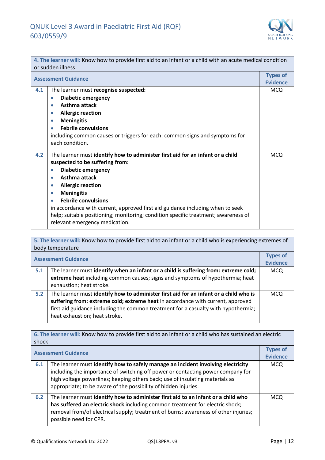

| 4. The learner will: Know how to provide first aid to an infant or a child with an acute medical condition<br>or sudden illness |                                                                                                                                                                                                                                                                                                                                                                                                                                                                                                   |                                    |
|---------------------------------------------------------------------------------------------------------------------------------|---------------------------------------------------------------------------------------------------------------------------------------------------------------------------------------------------------------------------------------------------------------------------------------------------------------------------------------------------------------------------------------------------------------------------------------------------------------------------------------------------|------------------------------------|
| <b>Assessment Guidance</b>                                                                                                      |                                                                                                                                                                                                                                                                                                                                                                                                                                                                                                   | <b>Types of</b><br><b>Evidence</b> |
| 4.1                                                                                                                             | The learner must recognise suspected:<br><b>Diabetic emergency</b><br>$\bullet$<br>Asthma attack<br>۰<br><b>Allergic reaction</b><br>$\bullet$<br><b>Meningitis</b><br>$\bullet$<br><b>Febrile convulsions</b><br>including common causes or triggers for each; common signs and symptoms for<br>each condition.                                                                                                                                                                                  | <b>MCQ</b>                         |
| 4.2                                                                                                                             | The learner must identify how to administer first aid for an infant or a child<br>suspected to be suffering from:<br><b>Diabetic emergency</b><br>$\bullet$<br>Asthma attack<br>۰<br><b>Allergic reaction</b><br>$\bullet$<br><b>Meningitis</b><br>۰<br><b>Febrile convulsions</b><br>۰<br>in accordance with current, approved first aid guidance including when to seek<br>help; suitable positioning; monitoring; condition specific treatment; awareness of<br>relevant emergency medication. | <b>MCQ</b>                         |

**5. The learner will:** Know how to provide first aid to an infant or a child who is experiencing extremes of body temperature **Assessment Guidance Types of Evidence 5.1** The learner must **identify when an infant or a child is suffering from: extreme cold; extreme heat** including common causes; signs and symptoms of hypothermia; heat exhaustion; heat stroke. MCQ **5.2** The learner must **identify how to administer first aid for an infant or a child who is suffering from: extreme cold; extreme heat** in accordance with current, approved first aid guidance including the common treatment for a casualty with hypothermia; heat exhaustion; heat stroke. MCQ

**6. The learner will:** Know how to provide first aid to an infant or a child who has sustained an electric shock **Assessment Guidance Types of Evidence 6.1** The learner must **identify how to safely manage an incident involving electricity** including the importance of switching off power or contacting power company for high voltage powerlines; keeping others back; use of insulating materials as appropriate; to be aware of the possibility of hidden injuries. MCQ **6.2** The learner must **identify how to administer first aid to an infant or a child who has suffered an electric shock** including common treatment for electric shock; removal from/of electrical supply; treatment of burns; awareness of other injuries; possible need for CPR. MCQ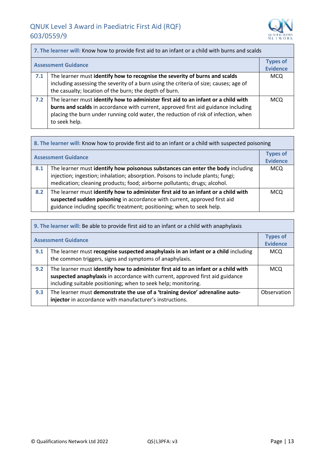

| 7. The learner will: Know how to provide first aid to an infant or a child with burns and scalds |                                                                                                                                                                                                                                                                                  |                                    |
|--------------------------------------------------------------------------------------------------|----------------------------------------------------------------------------------------------------------------------------------------------------------------------------------------------------------------------------------------------------------------------------------|------------------------------------|
|                                                                                                  | <b>Assessment Guidance</b>                                                                                                                                                                                                                                                       | <b>Types of</b><br><b>Evidence</b> |
| 7.1                                                                                              | The learner must identify how to recognise the severity of burns and scalds<br>including assessing the severity of a burn using the criteria of size; causes; age of<br>the casualty; location of the burn; the depth of burn.                                                   | <b>MCQ</b>                         |
| 7.2                                                                                              | The learner must identify how to administer first aid to an infant or a child with<br>burns and scalds in accordance with current, approved first aid guidance including<br>placing the burn under running cold water, the reduction of risk of infection, when<br>to seek help. | <b>MCQ</b>                         |

| 8. The learner will: Know how to provide first aid to an infant or a child with suspected poisoning |                                                                                                                                                                                                                                                 |                                    |
|-----------------------------------------------------------------------------------------------------|-------------------------------------------------------------------------------------------------------------------------------------------------------------------------------------------------------------------------------------------------|------------------------------------|
|                                                                                                     | <b>Assessment Guidance</b>                                                                                                                                                                                                                      | <b>Types of</b><br><b>Evidence</b> |
| 8.1                                                                                                 | The learner must identify how poisonous substances can enter the body including<br>injection; ingestion; inhalation; absorption. Poisons to include plants; fungi;<br>medication; cleaning products; food; airborne pollutants; drugs; alcohol. | <b>MCQ</b>                         |
| 8.2                                                                                                 | The learner must identify how to administer first aid to an infant or a child with<br>suspected sudden poisoning in accordance with current, approved first aid<br>guidance including specific treatment; positioning; when to seek help.       | <b>MCQ</b>                         |

| 9. The learner will: Be able to provide first aid to an infant or a child with anaphylaxis |                                                                                                                                                                                                                                       |                                    |
|--------------------------------------------------------------------------------------------|---------------------------------------------------------------------------------------------------------------------------------------------------------------------------------------------------------------------------------------|------------------------------------|
| <b>Assessment Guidance</b>                                                                 |                                                                                                                                                                                                                                       | <b>Types of</b><br><b>Evidence</b> |
| 9.1                                                                                        | The learner must recognise suspected anaphylaxis in an infant or a child including<br>the common triggers, signs and symptoms of anaphylaxis.                                                                                         | MCQ                                |
| 9.2                                                                                        | The learner must identify how to administer first aid to an infant or a child with<br>suspected anaphylaxis in accordance with current, approved first aid guidance<br>including suitable positioning; when to seek help; monitoring. | MCQ                                |
| 9.3                                                                                        | The learner must demonstrate the use of a 'training device' adrenaline auto-<br>injector in accordance with manufacturer's instructions.                                                                                              | Observation                        |